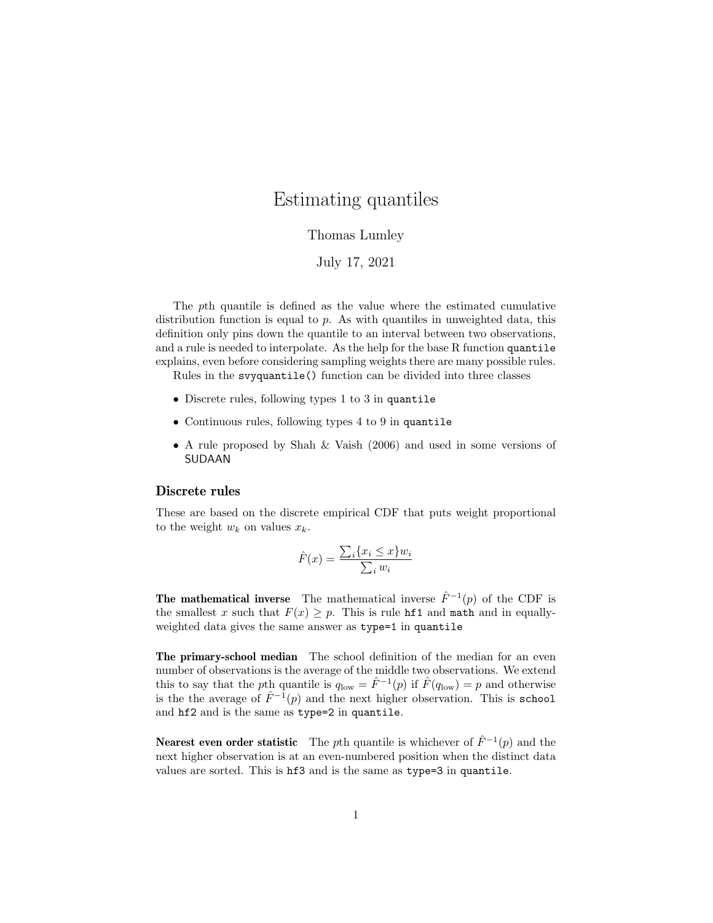# Estimating quantiles

## Thomas Lumley

## July 17, 2021

The pth quantile is defined as the value where the estimated cumulative distribution function is equal to p. As with quantiles in unweighted data, this definition only pins down the quantile to an interval between two observations, and a rule is needed to interpolate. As the help for the base R function quantile explains, even before considering sampling weights there are many possible rules.

Rules in the svyquantile() function can be divided into three classes

- Discrete rules, following types 1 to 3 in quantile
- Continuous rules, following types 4 to 9 in quantile
- A rule proposed by Shah & Vaish (2006) and used in some versions of SUDAAN

#### Discrete rules

These are based on the discrete empirical CDF that puts weight proportional to the weight  $w_k$  on values  $x_k$ .

$$
\hat{F}(x) = \frac{\sum_{i} \{x_i \le x\} w_i}{\sum_i w_i}
$$

**The mathematical inverse** The mathematical inverse  $\hat{F}^{-1}(p)$  of the CDF is the smallest x such that  $F(x) \geq p$ . This is rule hf1 and math and in equallyweighted data gives the same answer as type=1 in quantile

The primary-school median The school definition of the median for an even number of observations is the average of the middle two observations. We extend this to say that the pth quantile is  $q_{\text{low}} = \hat{F}^{-1}(p)$  if  $\hat{F}(q_{\text{low}}) = p$  and otherwise is the the average of  $\hat{F}^{-1}(p)$  and the next higher observation. This is school and hf2 and is the same as type=2 in quantile.

Nearest even order statistic The pth quantile is whichever of  $\hat{F}^{-1}(p)$  and the next higher observation is at an even-numbered position when the distinct data values are sorted. This is hf3 and is the same as type=3 in quantile.